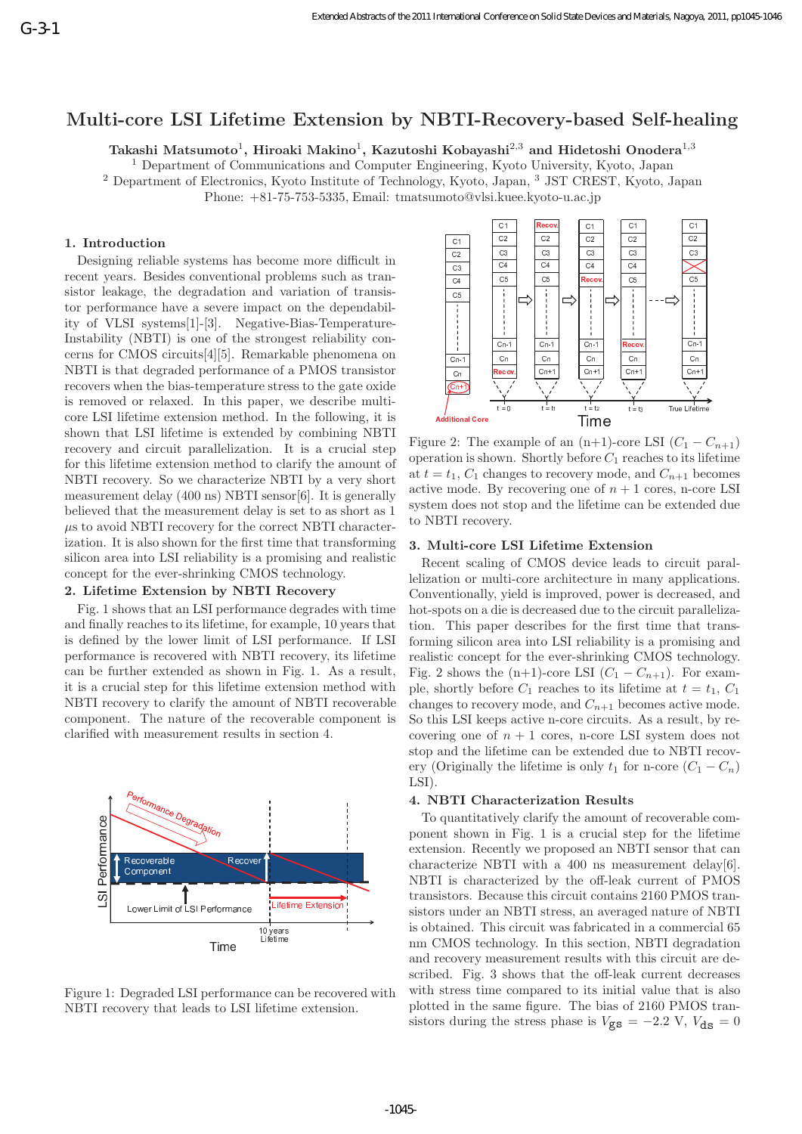# **Multi-core LSI Lifetime Extension by NBTI-Recovery-based Self-healing**

**Takashi Matsumoto**1**, Hiroaki Makino**1**, Kazutoshi Kobayashi**2,3 **and Hidetoshi Onodera**1,3

<sup>1</sup> Department of Communications and Computer Engineering, Kyoto University, Kyoto, Japan

<sup>2</sup> Department of Electronics, Kyoto Institute of Technology, Kyoto, Japan, <sup>3</sup> JST CREST, Kyoto, Japan

Phone: +81-75-753-5335, Email: tmatsumoto@vlsi.kuee.kyoto-u.ac.jp

## **1. Introduction**

Designing reliable systems has become more difficult in recent years. Besides conventional problems such as transistor leakage, the degradation and variation of transistor performance have a severe impact on the dependability of VLSI systems[1]-[3]. Negative-Bias-Temperature-Instability (NBTI) is one of the strongest reliability concerns for CMOS circuits[4][5]. Remarkable phenomena on NBTI is that degraded performance of a PMOS transistor recovers when the bias-temperature stress to the gate oxide is removed or relaxed. In this paper, we describe multicore LSI lifetime extension method. In the following, it is shown that LSI lifetime is extended by combining NBTI recovery and circuit parallelization. It is a crucial step for this lifetime extension method to clarify the amount of NBTI recovery. So we characterize NBTI by a very short measurement delay (400 ns) NBTI sensor[6]. It is generally believed that the measurement delay is set to as short as 1  $\mu$ s to avoid NBTI recovery for the correct NBTI characterization. It is also shown for the first time that transforming silicon area into LSI reliability is a promising and realistic concept for the ever-shrinking CMOS technology.

#### **2. Lifetime Extension by NBTI Recovery**

Fig. 1 shows that an LSI performance degrades with time and finally reaches to its lifetime, for example, 10 years that is defined by the lower limit of LSI performance. If LSI performance is recovered with NBTI recovery, its lifetime can be further extended as shown in Fig. 1. As a result, it is a crucial step for this lifetime extension method with NBTI recovery to clarify the amount of NBTI recoverable component. The nature of the recoverable component is clarified with measurement results in section 4.



Figure 1: Degraded LSI performance can be recovered with NBTI recovery that leads to LSI lifetime extension.



Figure 2: The example of an  $(n+1)$ -core LSI  $(C_1 - C_{n+1})$ operation is shown. Shortly before  $C_1$  reaches to its lifetime at  $t = t_1$ ,  $C_1$  changes to recovery mode, and  $C_{n+1}$  becomes active mode. By recovering one of  $n + 1$  cores, n-core LSI system does not stop and the lifetime can be extended due to NBTI recovery.

### **3. Multi-core LSI Lifetime Extension**

Recent scaling of CMOS device leads to circuit parallelization or multi-core architecture in many applications. Conventionally, yield is improved, power is decreased, and hot-spots on a die is decreased due to the circuit parallelization. This paper describes for the first time that transforming silicon area into LSI reliability is a promising and realistic concept for the ever-shrinking CMOS technology. Fig. 2 shows the  $(n+1)$ -core LSI  $(C_1 - C_{n+1})$ . For example, shortly before  $C_1$  reaches to its lifetime at  $t = t_1, C_1$ changes to recovery mode, and  $C_{n+1}$  becomes active mode. So this LSI keeps active n-core circuits. As a result, by recovering one of  $n + 1$  cores, n-core LSI system does not stop and the lifetime can be extended due to NBTI recovery (Originally the lifetime is only  $t_1$  for n-core  $(C_1 - C_n)$ ) LSI).

#### **4. NBTI Characterization Results**

To quantitatively clarify the amount of recoverable component shown in Fig. 1 is a crucial step for the lifetime extension. Recently we proposed an NBTI sensor that can characterize NBTI with a 400 ns measurement delay[6]. NBTI is characterized by the off-leak current of PMOS transistors. Because this circuit contains 2160 PMOS transistors under an NBTI stress, an averaged nature of NBTI is obtained. This circuit was fabricated in a commercial 65 nm CMOS technology. In this section, NBTI degradation and recovery measurement results with this circuit are described. Fig. 3 shows that the off-leak current decreases with stress time compared to its initial value that is also plotted in the same figure. The bias of 2160 PMOS transistors during the stress phase is  $V_{\text{gs}} = -2.2 \text{ V}, V_{\text{ds}} = 0$